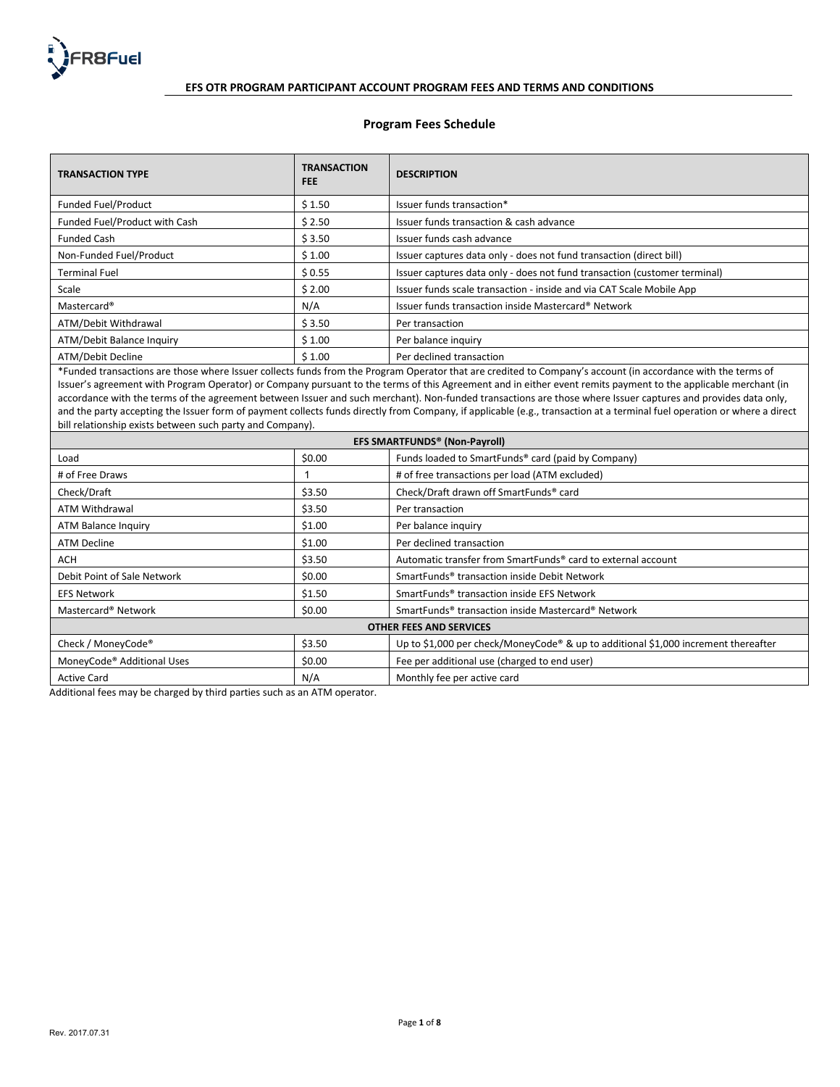

# **Program Fees Schedule**

| <b>TRANSACTION TYPE</b>                                                                                                                                            | <b>TRANSACTION</b><br><b>FEE</b> | <b>DESCRIPTION</b>                                                        |  |
|--------------------------------------------------------------------------------------------------------------------------------------------------------------------|----------------------------------|---------------------------------------------------------------------------|--|
| Funded Fuel/Product                                                                                                                                                | \$1.50                           | Issuer funds transaction*                                                 |  |
| Funded Fuel/Product with Cash                                                                                                                                      | \$2.50                           | Issuer funds transaction & cash advance                                   |  |
| <b>Funded Cash</b>                                                                                                                                                 | \$3.50                           | Issuer funds cash advance                                                 |  |
| Non-Funded Fuel/Product                                                                                                                                            | \$1.00                           | Issuer captures data only - does not fund transaction (direct bill)       |  |
| <b>Terminal Fuel</b>                                                                                                                                               | \$0.55                           | Issuer captures data only - does not fund transaction (customer terminal) |  |
| Scale                                                                                                                                                              | \$2.00                           | Issuer funds scale transaction - inside and via CAT Scale Mobile App      |  |
| Mastercard®                                                                                                                                                        | N/A                              | Issuer funds transaction inside Mastercard® Network                       |  |
| ATM/Debit Withdrawal                                                                                                                                               | \$3.50                           | Per transaction                                                           |  |
| ATM/Debit Balance Inquiry                                                                                                                                          | \$1.00                           | Per balance inquiry                                                       |  |
| ATM/Debit Decline                                                                                                                                                  | \$1.00                           | Per declined transaction                                                  |  |
| $*Fundod transformation;$ are those where listing collects funds from the Program Operator that are credited to Company's account (in accordance with the terms of |                                  |                                                                           |  |

\*Funded transactions are those where Issuer collects funds from the Program Operator that are credited to Company's account (in accordance with the terms of Issuer's agreement with Program Operator) or Company pursuant to the terms of this Agreement and in either event remits payment to the applicable merchant (in accordance with the terms of the agreement between Issuer and such merchant). Non-funded transactions are those where Issuer captures and provides data only, and the party accepting the Issuer form of payment collects funds directly from Company, if applicable (e.g., transaction at a terminal fuel operation or where a direct bill relationship exists between such party and Company).

| EFS SMARTFUNDS <sup>®</sup> (Non-Payroll) |        |                                                                                    |  |  |
|-------------------------------------------|--------|------------------------------------------------------------------------------------|--|--|
| Load                                      | \$0.00 | Funds loaded to SmartFunds® card (paid by Company)                                 |  |  |
| # of Free Draws                           |        | # of free transactions per load (ATM excluded)                                     |  |  |
| Check/Draft                               | \$3.50 | Check/Draft drawn off SmartFunds® card                                             |  |  |
| <b>ATM Withdrawal</b>                     | \$3.50 | Per transaction                                                                    |  |  |
| ATM Balance Inquiry                       | \$1.00 | Per balance inquiry                                                                |  |  |
| ATM Decline                               | \$1.00 | Per declined transaction                                                           |  |  |
| <b>ACH</b>                                | \$3.50 | Automatic transfer from SmartFunds <sup>®</sup> card to external account           |  |  |
| Debit Point of Sale Network               | \$0.00 | SmartFunds <sup>®</sup> transaction inside Debit Network                           |  |  |
| <b>EFS Network</b>                        | \$1.50 | SmartFunds <sup>®</sup> transaction inside EFS Network                             |  |  |
| Mastercard <sup>®</sup> Network           | \$0.00 | SmartFunds <sup>®</sup> transaction inside Mastercard <sup>®</sup> Network         |  |  |
| <b>OTHER FEES AND SERVICES</b>            |        |                                                                                    |  |  |
| Check / MoneyCode <sup>®</sup>            | \$3.50 | Up to \$1,000 per check/MoneyCode® & up to additional \$1,000 increment thereafter |  |  |
| MoneyCode <sup>®</sup> Additional Uses    | \$0.00 | Fee per additional use (charged to end user)                                       |  |  |
| <b>Active Card</b>                        | N/A    | Monthly fee per active card                                                        |  |  |

Additional fees may be charged by third parties such as an ATM operator.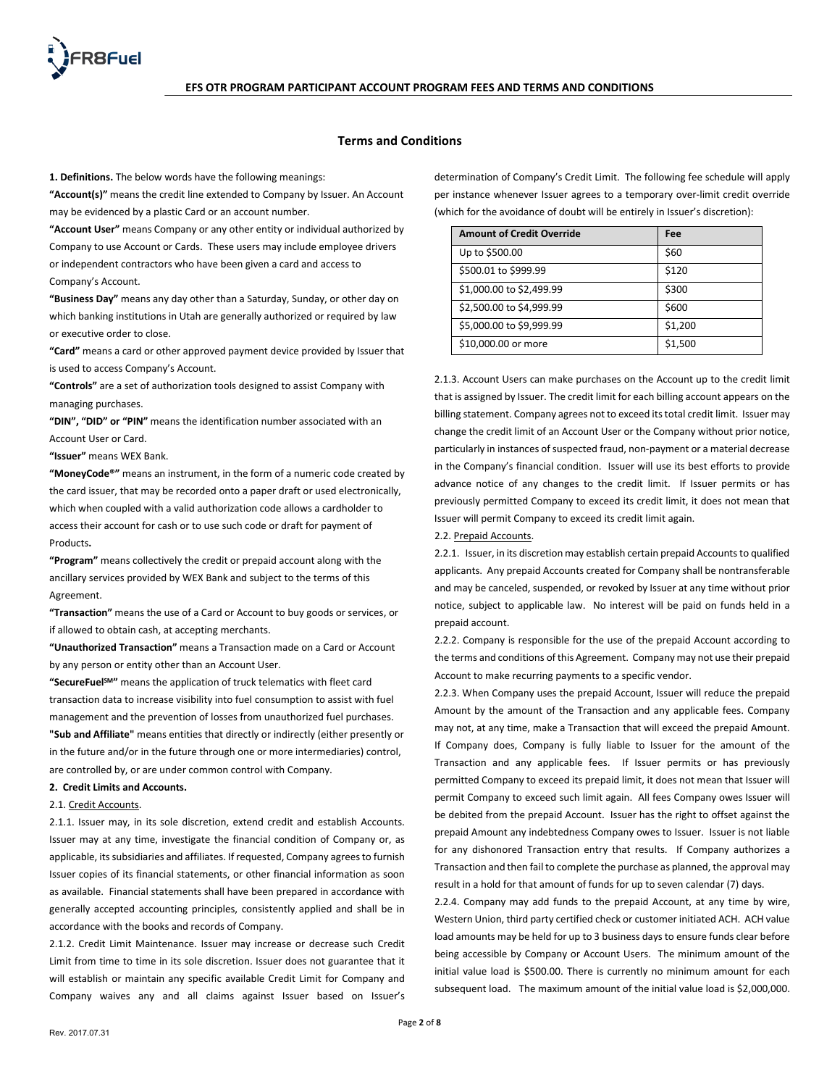

### **Terms and Conditions**

**1. Definitions.** The below words have the following meanings:

**"Account(s)"** means the credit line extended to Company by Issuer. An Account may be evidenced by a plastic Card or an account number.

**"Account User"** means Company or any other entity or individual authorized by Company to use Account or Cards. These users may include employee drivers or independent contractors who have been given a card and access to Company's Account.

**"Business Day"** means any day other than a Saturday, Sunday, or other day on which banking institutions in Utah are generally authorized or required by law or executive order to close.

**"Card"** means a card or other approved payment device provided by Issuer that is used to access Company's Account.

**"Controls"** are a set of authorization tools designed to assist Company with managing purchases.

**"DIN", "DID" or "PIN"** means the identification number associated with an Account User or Card.

**"Issuer"** means WEX Bank.

**"MoneyCode®"** means an instrument, in the form of a numeric code created by the card issuer, that may be recorded onto a paper draft or used electronically, which when coupled with a valid authorization code allows a cardholder to access their account for cash or to use such code or draft for payment of Products**.**

**"Program"** means collectively the credit or prepaid account along with the ancillary services provided by WEX Bank and subject to the terms of this Agreement.

**"Transaction"** means the use of a Card or Account to buy goods or services, or if allowed to obtain cash, at accepting merchants.

**"Unauthorized Transaction"** means a Transaction made on a Card or Account by any person or entity other than an Account User.

**"SecureFuelSM"** means the application of truck telematics with fleet card transaction data to increase visibility into fuel consumption to assist with fuel management and the prevention of losses from unauthorized fuel purchases. **"Sub and Affiliate"** means entities that directly or indirectly (either presently or in the future and/or in the future through one or more intermediaries) control, are controlled by, or are under common control with Company.

### **2. Credit Limits and Accounts.**

2.1. Credit Accounts.

2.1.1. Issuer may, in its sole discretion, extend credit and establish Accounts. Issuer may at any time, investigate the financial condition of Company or, as applicable, its subsidiaries and affiliates. If requested, Company agrees to furnish Issuer copies of its financial statements, or other financial information as soon as available. Financial statements shall have been prepared in accordance with generally accepted accounting principles, consistently applied and shall be in accordance with the books and records of Company.

2.1.2. Credit Limit Maintenance. Issuer may increase or decrease such Credit Limit from time to time in its sole discretion. Issuer does not guarantee that it will establish or maintain any specific available Credit Limit for Company and Company waives any and all claims against Issuer based on Issuer's determination of Company's Credit Limit. The following fee schedule will apply per instance whenever Issuer agrees to a temporary over-limit credit override (which for the avoidance of doubt will be entirely in Issuer's discretion):

| <b>Amount of Credit Override</b> | Fee     |
|----------------------------------|---------|
| Up to \$500.00                   | \$60    |
| \$500.01 to \$999.99             | \$120   |
| \$1,000.00 to \$2,499.99         | \$300   |
| \$2,500.00 to \$4,999.99         | \$600   |
| \$5,000.00 to \$9,999.99         | \$1,200 |
| \$10,000.00 or more              | \$1,500 |

2.1.3. Account Users can make purchases on the Account up to the credit limit that is assigned by Issuer. The credit limit for each billing account appears on the billing statement. Company agrees not to exceed its total credit limit. Issuer may change the credit limit of an Account User or the Company without prior notice, particularly in instances of suspected fraud, non-payment or a material decrease in the Company's financial condition. Issuer will use its best efforts to provide advance notice of any changes to the credit limit. If Issuer permits or has previously permitted Company to exceed its credit limit, it does not mean that Issuer will permit Company to exceed its credit limit again.

## 2.2. Prepaid Accounts.

2.2.1. Issuer, in its discretion may establish certain prepaid Accounts to qualified applicants. Any prepaid Accounts created for Company shall be nontransferable and may be canceled, suspended, or revoked by Issuer at any time without prior notice, subject to applicable law. No interest will be paid on funds held in a prepaid account.

2.2.2. Company is responsible for the use of the prepaid Account according to the terms and conditions of this Agreement. Company may not use their prepaid Account to make recurring payments to a specific vendor.

2.2.3. When Company uses the prepaid Account, Issuer will reduce the prepaid Amount by the amount of the Transaction and any applicable fees. Company may not, at any time, make a Transaction that will exceed the prepaid Amount. If Company does, Company is fully liable to Issuer for the amount of the Transaction and any applicable fees. If Issuer permits or has previously permitted Company to exceed its prepaid limit, it does not mean that Issuer will permit Company to exceed such limit again. All fees Company owes Issuer will be debited from the prepaid Account. Issuer has the right to offset against the prepaid Amount any indebtedness Company owes to Issuer. Issuer is not liable for any dishonored Transaction entry that results. If Company authorizes a Transaction and then fail to complete the purchase as planned, the approval may result in a hold for that amount of funds for up to seven calendar (7) days.

2.2.4. Company may add funds to the prepaid Account, at any time by wire, Western Union, third party certified check or customer initiated ACH. ACH value load amounts may be held for up to 3 business days to ensure funds clear before being accessible by Company or Account Users. The minimum amount of the initial value load is \$500.00. There is currently no minimum amount for each subsequent load. The maximum amount of the initial value load is \$2,000,000.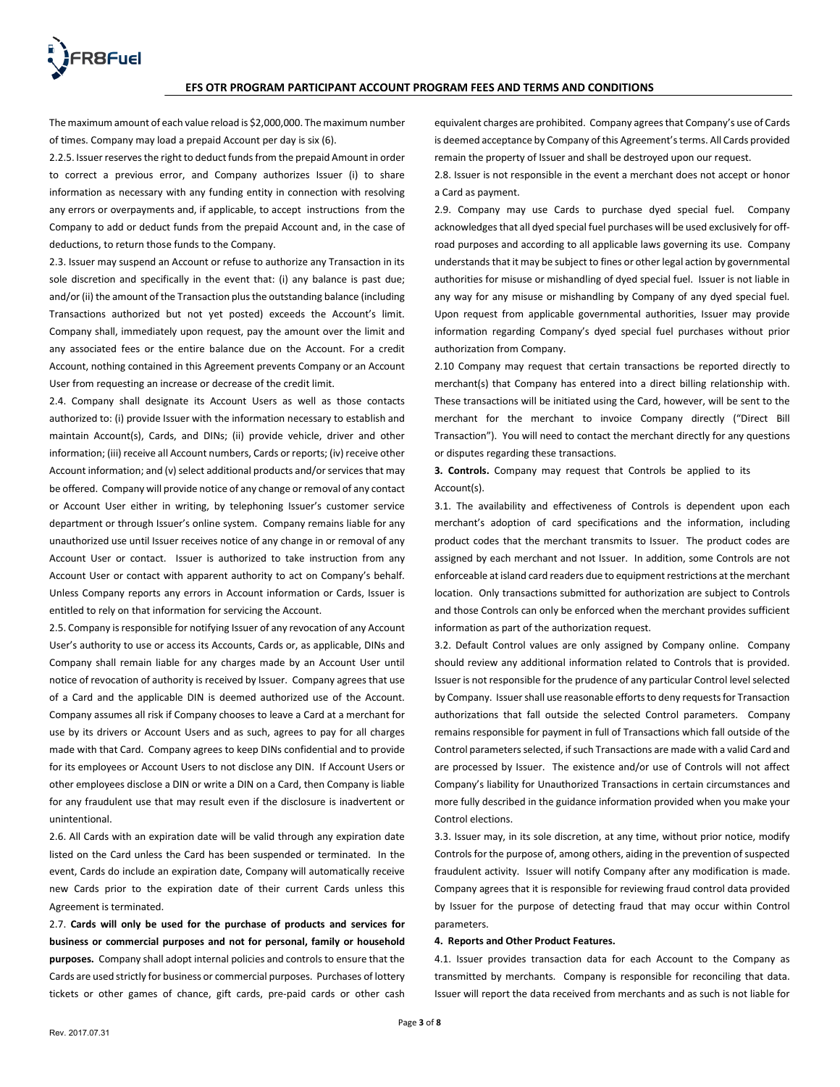The maximum amount of each value reload is \$2,000,000. The maximum number of times. Company may load a prepaid Account per day is six (6).

2.2.5. Issuer reserves the right to deduct funds from the prepaid Amount in order to correct a previous error, and Company authorizes Issuer (i) to share information as necessary with any funding entity in connection with resolving any errors or overpayments and, if applicable, to accept instructions from the Company to add or deduct funds from the prepaid Account and, in the case of deductions, to return those funds to the Company.

2.3. Issuer may suspend an Account or refuse to authorize any Transaction in its sole discretion and specifically in the event that: (i) any balance is past due; and/or (ii) the amount of the Transaction plus the outstanding balance (including Transactions authorized but not yet posted) exceeds the Account's limit. Company shall, immediately upon request, pay the amount over the limit and any associated fees or the entire balance due on the Account. For a credit Account, nothing contained in this Agreement prevents Company or an Account User from requesting an increase or decrease of the credit limit.

2.4. Company shall designate its Account Users as well as those contacts authorized to: (i) provide Issuer with the information necessary to establish and maintain Account(s), Cards, and DINs; (ii) provide vehicle, driver and other information; (iii) receive all Account numbers, Cards or reports; (iv) receive other Account information; and (v) select additional products and/or services that may be offered. Company will provide notice of any change or removal of any contact or Account User either in writing, by telephoning Issuer's customer service department or through Issuer's online system. Company remains liable for any unauthorized use until Issuer receives notice of any change in or removal of any Account User or contact. Issuer is authorized to take instruction from any Account User or contact with apparent authority to act on Company's behalf. Unless Company reports any errors in Account information or Cards, Issuer is entitled to rely on that information for servicing the Account.

2.5. Company is responsible for notifying Issuer of any revocation of any Account User's authority to use or access its Accounts, Cards or, as applicable, DINs and Company shall remain liable for any charges made by an Account User until notice of revocation of authority is received by Issuer. Company agrees that use of a Card and the applicable DIN is deemed authorized use of the Account. Company assumes all risk if Company chooses to leave a Card at a merchant for use by its drivers or Account Users and as such, agrees to pay for all charges made with that Card. Company agrees to keep DINs confidential and to provide for its employees or Account Users to not disclose any DIN. If Account Users or other employees disclose a DIN or write a DIN on a Card, then Company is liable for any fraudulent use that may result even if the disclosure is inadvertent or unintentional.

2.6. All Cards with an expiration date will be valid through any expiration date listed on the Card unless the Card has been suspended or terminated.In the event, Cards do include an expiration date, Company will automatically receive new Cards prior to the expiration date of their current Cards unless this Agreement is terminated.

2.7. **Cards will only be used for the purchase of products and services for business or commercial purposes and not for personal, family or household purposes.** Company shall adopt internal policies and controls to ensure that the Cards are used strictly for business or commercial purposes. Purchases of lottery tickets or other games of chance, gift cards, pre-paid cards or other cash

equivalent charges are prohibited. Company agrees that Company's use of Cards is deemed acceptance by Company of this Agreement's terms. All Cards provided remain the property of Issuer and shall be destroyed upon our request.

2.8. Issuer is not responsible in the event a merchant does not accept or honor a Card as payment.

2.9. Company may use Cards to purchase dyed special fuel. Company acknowledges that all dyed special fuel purchases will be used exclusively for offroad purposes and according to all applicable laws governing its use. Company understands that it may be subject to fines or other legal action by governmental authorities for misuse or mishandling of dyed special fuel. Issuer is not liable in any way for any misuse or mishandling by Company of any dyed special fuel. Upon request from applicable governmental authorities, Issuer may provide information regarding Company's dyed special fuel purchases without prior authorization from Company.

2.10 Company may request that certain transactions be reported directly to merchant(s) that Company has entered into a direct billing relationship with. These transactions will be initiated using the Card, however, will be sent to the merchant for the merchant to invoice Company directly ("Direct Bill Transaction"). You will need to contact the merchant directly for any questions or disputes regarding these transactions.

**3. Controls.** Company may request that Controls be applied to its Account(s).

3.1. The availability and effectiveness of Controls is dependent upon each merchant's adoption of card specifications and the information, including product codes that the merchant transmits to Issuer. The product codes are assigned by each merchant and not Issuer. In addition, some Controls are not enforceable at island card readers due to equipment restrictions at the merchant location. Only transactions submitted for authorization are subject to Controls and those Controls can only be enforced when the merchant provides sufficient information as part of the authorization request.

3.2. Default Control values are only assigned by Company online. Company should review any additional information related to Controls that is provided. Issuer is not responsible for the prudence of any particular Control level selected by Company. Issuer shall use reasonable efforts to deny requests for Transaction authorizations that fall outside the selected Control parameters. Company remains responsible for payment in full of Transactions which fall outside of the Control parameters selected, if such Transactions are made with a valid Card and are processed by Issuer. The existence and/or use of Controls will not affect Company's liability for Unauthorized Transactions in certain circumstances and more fully described in the guidance information provided when you make your Control elections.

3.3. Issuer may, in its sole discretion, at any time, without prior notice, modify Controls for the purpose of, among others, aiding in the prevention of suspected fraudulent activity. Issuer will notify Company after any modification is made. Company agrees that it is responsible for reviewing fraud control data provided by Issuer for the purpose of detecting fraud that may occur within Control parameters.

### **4. Reports and Other Product Features.**

4.1. Issuer provides transaction data for each Account to the Company as transmitted by merchants. Company is responsible for reconciling that data. Issuer will report the data received from merchants and as such is not liable for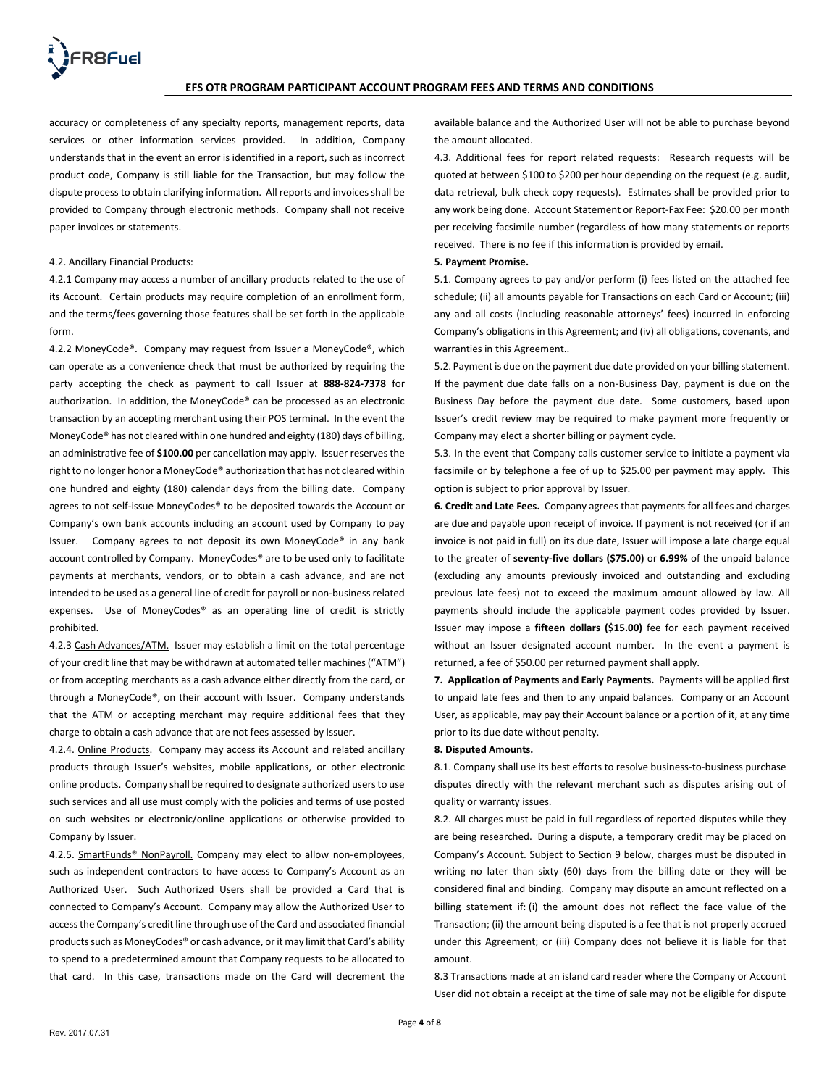

accuracy or completeness of any specialty reports, management reports, data services or other information services provided. In addition, Company understands that in the event an error is identified in a report, such as incorrect product code, Company is still liable for the Transaction, but may follow the dispute process to obtain clarifying information. All reports and invoices shall be provided to Company through electronic methods. Company shall not receive paper invoices or statements.

### 4.2. Ancillary Financial Products:

4.2.1 Company may access a number of ancillary products related to the use of its Account. Certain products may require completion of an enrollment form, and the terms/fees governing those features shall be set forth in the applicable form.

4.2.2 MoneyCode®. Company may request from Issuer a MoneyCode®, which can operate as a convenience check that must be authorized by requiring the party accepting the check as payment to call Issuer at **888-824-7378** for authorization. In addition, the MoneyCode® can be processed as an electronic transaction by an accepting merchant using their POS terminal. In the event the MoneyCode® has not cleared within one hundred and eighty (180) days of billing, an administrative fee of **\$100.00** per cancellation may apply. Issuer reserves the right to no longer honor a MoneyCode® authorization that has not cleared within one hundred and eighty (180) calendar days from the billing date. Company agrees to not self-issue MoneyCodes® to be deposited towards the Account or Company's own bank accounts including an account used by Company to pay Issuer. Company agrees to not deposit its own MoneyCode® in any bank account controlled by Company. MoneyCodes® are to be used only to facilitate payments at merchants, vendors, or to obtain a cash advance, and are not intended to be used as a general line of credit for payroll or non-business related expenses. Use of MoneyCodes® as an operating line of credit is strictly prohibited.

4.2.3 Cash Advances/ATM. Issuer may establish a limit on the total percentage of your credit line that may be withdrawn at automated teller machines ("ATM") or from accepting merchants as a cash advance either directly from the card, or through a MoneyCode®, on their account with Issuer. Company understands that the ATM or accepting merchant may require additional fees that they charge to obtain a cash advance that are not fees assessed by Issuer.

4.2.4. Online Products. Company may access its Account and related ancillary products through Issuer's websites, mobile applications, or other electronic online products. Company shall be required to designate authorized users to use such services and all use must comply with the policies and terms of use posted on such websites or electronic/online applications or otherwise provided to Company by Issuer.

4.2.5. SmartFunds<sup>®</sup> NonPayroll. Company may elect to allow non-employees, such as independent contractors to have access to Company's Account as an Authorized User. Such Authorized Users shall be provided a Card that is connected to Company's Account. Company may allow the Authorized User to access the Company's credit line through use of the Card and associated financial products such as MoneyCodes® or cash advance, or it may limit that Card's ability to spend to a predetermined amount that Company requests to be allocated to that card. In this case, transactions made on the Card will decrement the

available balance and the Authorized User will not be able to purchase beyond the amount allocated.

4.3. Additional fees for report related requests: Research requests will be quoted at between \$100 to \$200 per hour depending on the request (e.g. audit, data retrieval, bulk check copy requests). Estimates shall be provided prior to any work being done. Account Statement or Report-Fax Fee: \$20.00 per month per receiving facsimile number (regardless of how many statements or reports received. There is no fee if this information is provided by email.

### **5. Payment Promise.**

5.1. Company agrees to pay and/or perform (i) fees listed on the attached fee schedule; (ii) all amounts payable for Transactions on each Card or Account; (iii) any and all costs (including reasonable attorneys' fees) incurred in enforcing Company's obligations in this Agreement; and (iv) all obligations, covenants, and warranties in this Agreement..

5.2. Payment is due on the payment due date provided on your billing statement. If the payment due date falls on a non-Business Day, payment is due on the Business Day before the payment due date. Some customers, based upon Issuer's credit review may be required to make payment more frequently or Company may elect a shorter billing or payment cycle.

5.3. In the event that Company calls customer service to initiate a payment via facsimile or by telephone a fee of up to \$25.00 per payment may apply. This option is subject to prior approval by Issuer.

**6. Credit and Late Fees.** Company agrees that payments for all fees and charges are due and payable upon receipt of invoice. If payment is not received (or if an invoice is not paid in full) on its due date, Issuer will impose a late charge equal to the greater of **seventy-five dollars (\$75.00)** or **6.99%** of the unpaid balance (excluding any amounts previously invoiced and outstanding and excluding previous late fees) not to exceed the maximum amount allowed by law. All payments should include the applicable payment codes provided by Issuer. Issuer may impose a **fifteen dollars (\$15.00)** fee for each payment received without an Issuer designated account number. In the event a payment is returned, a fee of \$50.00 per returned payment shall apply.

**7. Application of Payments and Early Payments.** Payments will be applied first to unpaid late fees and then to any unpaid balances. Company or an Account User, as applicable, may pay their Account balance or a portion of it, at any time prior to its due date without penalty.

#### **8. Disputed Amounts.**

8.1. Company shall use its best efforts to resolve business-to-business purchase disputes directly with the relevant merchant such as disputes arising out of quality or warranty issues.

8.2. All charges must be paid in full regardless of reported disputes while they are being researched. During a dispute, a temporary credit may be placed on Company's Account. Subject to Section 9 below, charges must be disputed in writing no later than sixty (60) days from the billing date or they will be considered final and binding. Company may dispute an amount reflected on a billing statement if: (i) the amount does not reflect the face value of the Transaction; (ii) the amount being disputed is a fee that is not properly accrued under this Agreement; or (iii) Company does not believe it is liable for that amount.

8.3 Transactions made at an island card reader where the Company or Account User did not obtain a receipt at the time of sale may not be eligible for dispute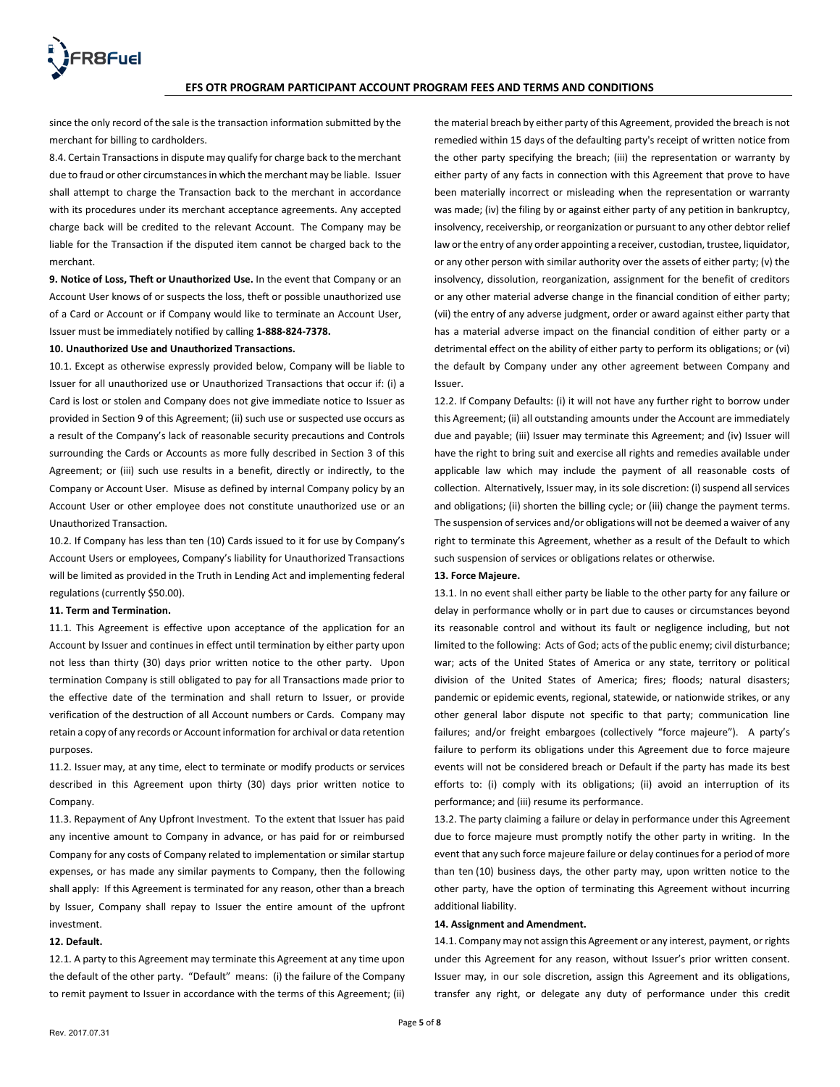

since the only record of the sale is the transaction information submitted by the merchant for billing to cardholders.

8.4. Certain Transactions in dispute may qualify for charge back to the merchant due to fraud or other circumstances in which the merchant may be liable. Issuer shall attempt to charge the Transaction back to the merchant in accordance with its procedures under its merchant acceptance agreements. Any accepted charge back will be credited to the relevant Account. The Company may be liable for the Transaction if the disputed item cannot be charged back to the merchant.

**9. Notice of Loss, Theft or Unauthorized Use.** In the event that Company or an Account User knows of or suspects the loss, theft or possible unauthorized use of a Card or Account or if Company would like to terminate an Account User, Issuer must be immediately notified by calling **1-888-824-7378.**

### **10. Unauthorized Use and Unauthorized Transactions.**

10.1. Except as otherwise expressly provided below, Company will be liable to Issuer for all unauthorized use or Unauthorized Transactions that occur if: (i) a Card is lost or stolen and Company does not give immediate notice to Issuer as provided in Section 9 of this Agreement; (ii) such use or suspected use occurs as a result of the Company's lack of reasonable security precautions and Controls surrounding the Cards or Accounts as more fully described in Section 3 of this Agreement; or (iii) such use results in a benefit, directly or indirectly, to the Company or Account User. Misuse as defined by internal Company policy by an Account User or other employee does not constitute unauthorized use or an Unauthorized Transaction.

10.2. If Company has less than ten (10) Cards issued to it for use by Company's Account Users or employees, Company's liability for Unauthorized Transactions will be limited as provided in the Truth in Lending Act and implementing federal regulations (currently \$50.00).

### **11. Term and Termination.**

11.1. This Agreement is effective upon acceptance of the application for an Account by Issuer and continues in effect until termination by either party upon not less than thirty (30) days prior written notice to the other party. Upon termination Company is still obligated to pay for all Transactions made prior to the effective date of the termination and shall return to Issuer, or provide verification of the destruction of all Account numbers or Cards. Company may retain a copy of any records or Account information for archival or data retention purposes.

11.2. Issuer may, at any time, elect to terminate or modify products or services described in this Agreement upon thirty (30) days prior written notice to Company.

11.3. Repayment of Any Upfront Investment. To the extent that Issuer has paid any incentive amount to Company in advance, or has paid for or reimbursed Company for any costs of Company related to implementation or similar startup expenses, or has made any similar payments to Company, then the following shall apply: If this Agreement is terminated for any reason, other than a breach by Issuer, Company shall repay to Issuer the entire amount of the upfront investment.

### **12. Default.**

12.1. A party to this Agreement may terminate this Agreement at any time upon the default of the other party. "Default" means: (i) the failure of the Company to remit payment to Issuer in accordance with the terms of this Agreement; (ii) the material breach by either party of this Agreement, provided the breach is not remedied within 15 days of the defaulting party's receipt of written notice from the other party specifying the breach; (iii) the representation or warranty by either party of any facts in connection with this Agreement that prove to have been materially incorrect or misleading when the representation or warranty was made; (iv) the filing by or against either party of any petition in bankruptcy, insolvency, receivership, or reorganization or pursuant to any other debtor relief law or the entry of any order appointing a receiver, custodian, trustee, liquidator, or any other person with similar authority over the assets of either party; (v) the insolvency, dissolution, reorganization, assignment for the benefit of creditors or any other material adverse change in the financial condition of either party; (vii) the entry of any adverse judgment, order or award against either party that has a material adverse impact on the financial condition of either party or a detrimental effect on the ability of either party to perform its obligations; or (vi) the default by Company under any other agreement between Company and Issuer.

12.2. If Company Defaults: (i) it will not have any further right to borrow under this Agreement; (ii) all outstanding amounts under the Account are immediately due and payable; (iii) Issuer may terminate this Agreement; and (iv) Issuer will have the right to bring suit and exercise all rights and remedies available under applicable law which may include the payment of all reasonable costs of collection. Alternatively, Issuer may, in its sole discretion: (i) suspend all services and obligations; (ii) shorten the billing cycle; or (iii) change the payment terms. The suspension of services and/or obligations will not be deemed a waiver of any right to terminate this Agreement, whether as a result of the Default to which such suspension of services or obligations relates or otherwise.

#### **13. Force Majeure.**

13.1. In no event shall either party be liable to the other party for any failure or delay in performance wholly or in part due to causes or circumstances beyond its reasonable control and without its fault or negligence including, but not limited to the following: Acts of God; acts of the public enemy; civil disturbance; war; acts of the United States of America or any state, territory or political division of the United States of America; fires; floods; natural disasters; pandemic or epidemic events, regional, statewide, or nationwide strikes, or any other general labor dispute not specific to that party; communication line failures; and/or freight embargoes (collectively "force majeure"). A party's failure to perform its obligations under this Agreement due to force majeure events will not be considered breach or Default if the party has made its best efforts to: (i) comply with its obligations; (ii) avoid an interruption of its performance; and (iii) resume its performance.

13.2. The party claiming a failure or delay in performance under this Agreement due to force majeure must promptly notify the other party in writing. In the event that any such force majeure failure or delay continues for a period of more than ten (10) business days, the other party may, upon written notice to the other party, have the option of terminating this Agreement without incurring additional liability.

### **14. Assignment and Amendment.**

14.1. Company may not assign this Agreement or any interest, payment, or rights under this Agreement for any reason, without Issuer's prior written consent. Issuer may, in our sole discretion, assign this Agreement and its obligations, transfer any right, or delegate any duty of performance under this credit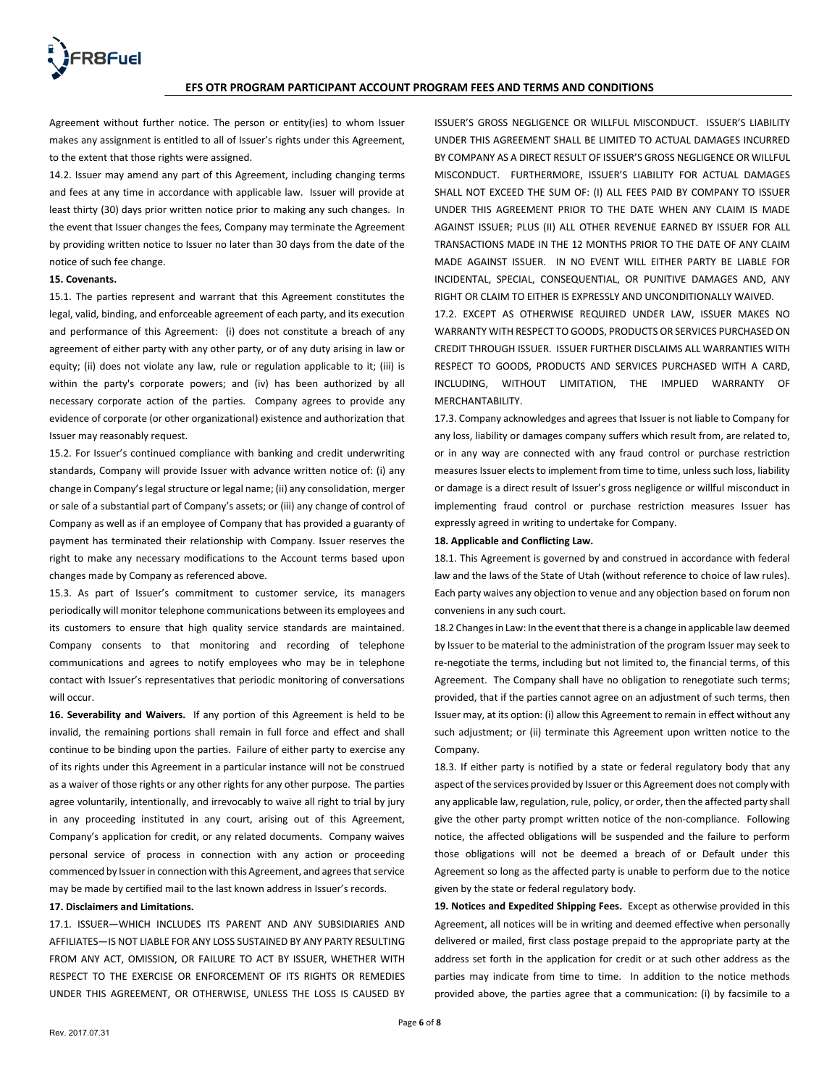

Agreement without further notice. The person or entity(ies) to whom Issuer makes any assignment is entitled to all of Issuer's rights under this Agreement, to the extent that those rights were assigned.

14.2. Issuer may amend any part of this Agreement, including changing terms and fees at any time in accordance with applicable law. Issuer will provide at least thirty (30) days prior written notice prior to making any such changes. In the event that Issuer changes the fees, Company may terminate the Agreement by providing written notice to Issuer no later than 30 days from the date of the notice of such fee change.

### **15. Covenants.**

15.1. The parties represent and warrant that this Agreement constitutes the legal, valid, binding, and enforceable agreement of each party, and its execution and performance of this Agreement: (i) does not constitute a breach of any agreement of either party with any other party, or of any duty arising in law or equity; (ii) does not violate any law, rule or regulation applicable to it; (iii) is within the party's corporate powers; and (iv) has been authorized by all necessary corporate action of the parties. Company agrees to provide any evidence of corporate (or other organizational) existence and authorization that Issuer may reasonably request.

15.2. For Issuer's continued compliance with banking and credit underwriting standards, Company will provide Issuer with advance written notice of: (i) any change in Company's legal structure or legal name; (ii) any consolidation, merger or sale of a substantial part of Company's assets; or (iii) any change of control of Company as well as if an employee of Company that has provided a guaranty of payment has terminated their relationship with Company. Issuer reserves the right to make any necessary modifications to the Account terms based upon changes made by Company as referenced above.

15.3. As part of Issuer's commitment to customer service, its managers periodically will monitor telephone communications between its employees and its customers to ensure that high quality service standards are maintained. Company consents to that monitoring and recording of telephone communications and agrees to notify employees who may be in telephone contact with Issuer's representatives that periodic monitoring of conversations will occur.

**16. Severability and Waivers.** If any portion of this Agreement is held to be invalid, the remaining portions shall remain in full force and effect and shall continue to be binding upon the parties. Failure of either party to exercise any of its rights under this Agreement in a particular instance will not be construed as a waiver of those rights or any other rights for any other purpose. The parties agree voluntarily, intentionally, and irrevocably to waive all right to trial by jury in any proceeding instituted in any court, arising out of this Agreement, Company's application for credit, or any related documents. Company waives personal service of process in connection with any action or proceeding commenced by Issuer in connection with this Agreement, and agrees that service may be made by certified mail to the last known address in Issuer's records.

## **17. Disclaimers and Limitations.**

17.1. ISSUER—WHICH INCLUDES ITS PARENT AND ANY SUBSIDIARIES AND AFFILIATES—IS NOT LIABLE FOR ANY LOSS SUSTAINED BY ANY PARTY RESULTING FROM ANY ACT, OMISSION, OR FAILURE TO ACT BY ISSUER, WHETHER WITH RESPECT TO THE EXERCISE OR ENFORCEMENT OF ITS RIGHTS OR REMEDIES UNDER THIS AGREEMENT, OR OTHERWISE, UNLESS THE LOSS IS CAUSED BY ISSUER'S GROSS NEGLIGENCE OR WILLFUL MISCONDUCT. ISSUER'S LIABILITY UNDER THIS AGREEMENT SHALL BE LIMITED TO ACTUAL DAMAGES INCURRED BY COMPANY AS A DIRECT RESULT OF ISSUER'S GROSS NEGLIGENCE OR WILLFUL MISCONDUCT. FURTHERMORE, ISSUER'S LIABILITY FOR ACTUAL DAMAGES SHALL NOT EXCEED THE SUM OF: (I) ALL FEES PAID BY COMPANY TO ISSUER UNDER THIS AGREEMENT PRIOR TO THE DATE WHEN ANY CLAIM IS MADE AGAINST ISSUER; PLUS (II) ALL OTHER REVENUE EARNED BY ISSUER FOR ALL TRANSACTIONS MADE IN THE 12 MONTHS PRIOR TO THE DATE OF ANY CLAIM MADE AGAINST ISSUER. IN NO EVENT WILL EITHER PARTY BE LIABLE FOR INCIDENTAL, SPECIAL, CONSEQUENTIAL, OR PUNITIVE DAMAGES AND, ANY RIGHT OR CLAIM TO EITHER IS EXPRESSLY AND UNCONDITIONALLY WAIVED.

17.2. EXCEPT AS OTHERWISE REQUIRED UNDER LAW, ISSUER MAKES NO WARRANTY WITH RESPECT TO GOODS, PRODUCTS OR SERVICES PURCHASED ON CREDIT THROUGH ISSUER. ISSUER FURTHER DISCLAIMS ALL WARRANTIES WITH RESPECT TO GOODS, PRODUCTS AND SERVICES PURCHASED WITH A CARD, INCLUDING, WITHOUT LIMITATION, THE IMPLIED WARRANTY OF MERCHANTABILITY.

17.3. Company acknowledges and agrees that Issuer is not liable to Company for any loss, liability or damages company suffers which result from, are related to, or in any way are connected with any fraud control or purchase restriction measures Issuer elects to implement from time to time, unless such loss, liability or damage is a direct result of Issuer's gross negligence or willful misconduct in implementing fraud control or purchase restriction measures Issuer has expressly agreed in writing to undertake for Company.

### **18. Applicable and Conflicting Law.**

18.1. This Agreement is governed by and construed in accordance with federal law and the laws of the State of Utah (without reference to choice of law rules). Each party waives any objection to venue and any objection based on forum non conveniens in any such court.

18.2 Changes in Law: In the event that there is a change in applicable law deemed by Issuer to be material to the administration of the program Issuer may seek to re-negotiate the terms, including but not limited to, the financial terms, of this Agreement. The Company shall have no obligation to renegotiate such terms; provided, that if the parties cannot agree on an adjustment of such terms, then Issuer may, at its option: (i) allow this Agreement to remain in effect without any such adjustment; or (ii) terminate this Agreement upon written notice to the Company.

18.3. If either party is notified by a state or federal regulatory body that any aspect of the services provided by Issuer or this Agreement does not comply with any applicable law, regulation, rule, policy, or order, then the affected party shall give the other party prompt written notice of the non-compliance. Following notice, the affected obligations will be suspended and the failure to perform those obligations will not be deemed a breach of or Default under this Agreement so long as the affected party is unable to perform due to the notice given by the state or federal regulatory body.

**19. Notices and Expedited Shipping Fees.** Except as otherwise provided in this Agreement, all notices will be in writing and deemed effective when personally delivered or mailed, first class postage prepaid to the appropriate party at the address set forth in the application for credit or at such other address as the parties may indicate from time to time. In addition to the notice methods provided above, the parties agree that a communication: (i) by facsimile to a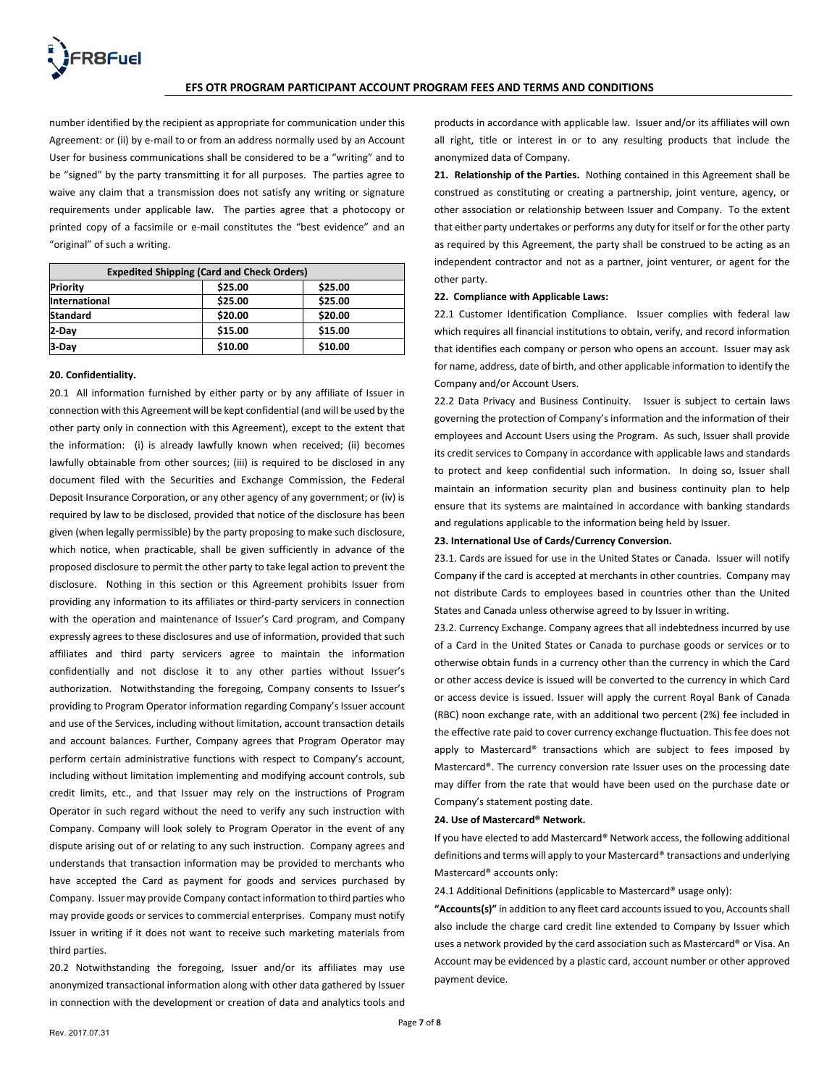number identified by the recipient as appropriate for communication under this Agreement: or (ii) by e-mail to or from an address normally used by an Account User for business communications shall be considered to be a "writing" and to be "signed" by the party transmitting it for all purposes. The parties agree to waive any claim that a transmission does not satisfy any writing or signature requirements under applicable law. The parties agree that a photocopy or printed copy of a facsimile or e-mail constitutes the "best evidence" and an "original" of such a writing.

| <b>Expedited Shipping (Card and Check Orders)</b> |         |         |  |  |
|---------------------------------------------------|---------|---------|--|--|
| <b>Priority</b>                                   | \$25.00 | \$25.00 |  |  |
| International                                     | \$25.00 | \$25.00 |  |  |
| <b>Standard</b>                                   | \$20.00 | \$20.00 |  |  |
| 2-Day                                             | \$15.00 | \$15.00 |  |  |
| 3-Day                                             | \$10.00 | \$10.00 |  |  |

## **20. Confidentiality.**

20.1 All information furnished by either party or by any affiliate of Issuer in connection with this Agreement will be kept confidential (and will be used by the other party only in connection with this Agreement), except to the extent that the information: (i) is already lawfully known when received; (ii) becomes lawfully obtainable from other sources; (iii) is required to be disclosed in any document filed with the Securities and Exchange Commission, the Federal Deposit Insurance Corporation, or any other agency of any government; or (iv) is required by law to be disclosed, provided that notice of the disclosure has been given (when legally permissible) by the party proposing to make such disclosure, which notice, when practicable, shall be given sufficiently in advance of the proposed disclosure to permit the other party to take legal action to prevent the disclosure. Nothing in this section or this Agreement prohibits Issuer from providing any information to its affiliates or third-party servicers in connection with the operation and maintenance of Issuer's Card program, and Company expressly agrees to these disclosures and use of information, provided that such affiliates and third party servicers agree to maintain the information confidentially and not disclose it to any other parties without Issuer's authorization. Notwithstanding the foregoing, Company consents to Issuer's providing to Program Operator information regarding Company's Issuer account and use of the Services, including without limitation, account transaction details and account balances. Further, Company agrees that Program Operator may perform certain administrative functions with respect to Company's account, including without limitation implementing and modifying account controls, sub credit limits, etc., and that Issuer may rely on the instructions of Program Operator in such regard without the need to verify any such instruction with Company. Company will look solely to Program Operator in the event of any dispute arising out of or relating to any such instruction. Company agrees and understands that transaction information may be provided to merchants who have accepted the Card as payment for goods and services purchased by Company. Issuer may provide Company contact information to third parties who may provide goods or services to commercial enterprises. Company must notify Issuer in writing if it does not want to receive such marketing materials from third parties.

20.2 Notwithstanding the foregoing, Issuer and/or its affiliates may use anonymized transactional information along with other data gathered by Issuer in connection with the development or creation of data and analytics tools and products in accordance with applicable law. Issuer and/or its affiliates will own all right, title or interest in or to any resulting products that include the anonymized data of Company.

**21. Relationship of the Parties.** Nothing contained in this Agreement shall be construed as constituting or creating a partnership, joint venture, agency, or other association or relationship between Issuer and Company. To the extent that either party undertakes or performs any duty for itself or for the other party as required by this Agreement, the party shall be construed to be acting as an independent contractor and not as a partner, joint venturer, or agent for the other party.

### **22. Compliance with Applicable Laws:**

22.1 Customer Identification Compliance. Issuer complies with federal law which requires all financial institutions to obtain, verify, and record information that identifies each company or person who opens an account. Issuer may ask for name, address, date of birth, and other applicable information to identify the Company and/or Account Users.

22.2 Data Privacy and Business Continuity. Issuer is subject to certain laws governing the protection of Company's information and the information of their employees and Account Users using the Program. As such, Issuer shall provide its credit services to Company in accordance with applicable laws and standards to protect and keep confidential such information. In doing so, Issuer shall maintain an information security plan and business continuity plan to help ensure that its systems are maintained in accordance with banking standards and regulations applicable to the information being held by Issuer.

### **23. International Use of Cards/Currency Conversion.**

23.1. Cards are issued for use in the United States or Canada. Issuer will notify Company if the card is accepted at merchants in other countries. Company may not distribute Cards to employees based in countries other than the United States and Canada unless otherwise agreed to by Issuer in writing.

23.2. Currency Exchange. Company agrees that all indebtedness incurred by use of a Card in the United States or Canada to purchase goods or services or to otherwise obtain funds in a currency other than the currency in which the Card or other access device is issued will be converted to the currency in which Card or access device is issued. Issuer will apply the current Royal Bank of Canada (RBC) noon exchange rate, with an additional two percent (2%) fee included in the effective rate paid to cover currency exchange fluctuation. This fee does not apply to Mastercard® transactions which are subject to fees imposed by Mastercard®. The currency conversion rate Issuer uses on the processing date may differ from the rate that would have been used on the purchase date or Company's statement posting date.

### **24. Use of Mastercard® Network.**

If you have elected to add Mastercard® Network access, the following additional definitions and terms will apply to your Mastercard® transactions and underlying Mastercard® accounts only:

24.1 Additional Definitions (applicable to Mastercard® usage only):

**"Accounts(s)"** in addition to any fleet card accounts issued to you, Accounts shall also include the charge card credit line extended to Company by Issuer which uses a network provided by the card association such as Mastercard® or Visa. An Account may be evidenced by a plastic card, account number or other approved payment device.